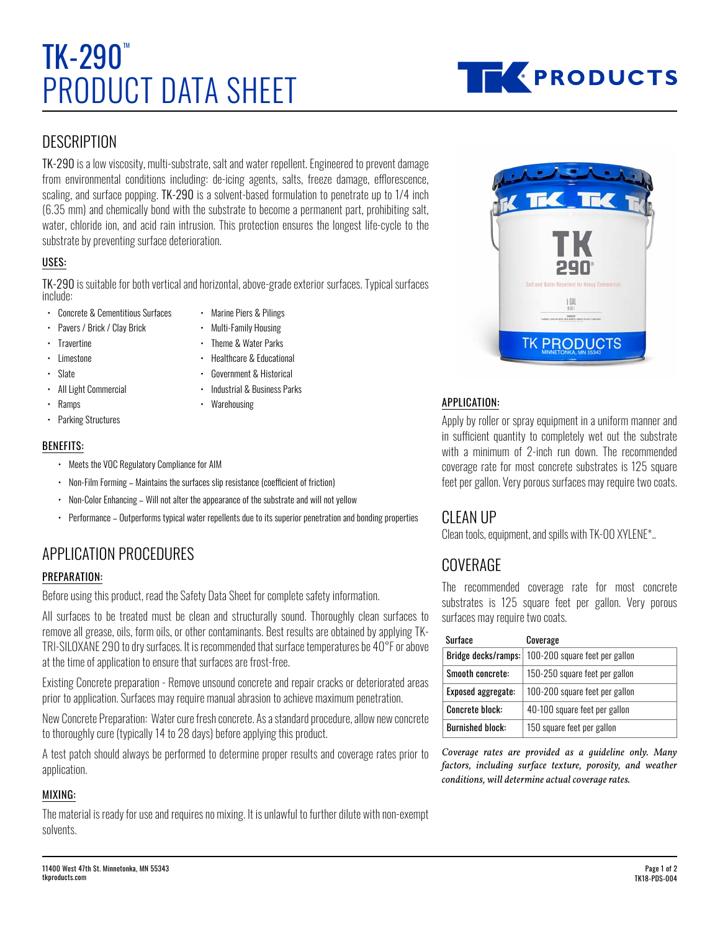# PRODUCT DATA SHEET  $TK-290$



## **DESCRIPTION**

TK-290 is a low viscosity, multi-substrate, salt and water repellent. Engineered to prevent damage from environmental conditions including: de-icing agents, salts, freeze damage, efflorescence, scaling, and surface popping. TK-290 is a solvent-based formulation to penetrate up to 1/4 inch (6.35 mm) and chemically bond with the substrate to become a permanent part, prohibiting salt, water, chloride ion, and acid rain intrusion. This protection ensures the longest life-cycle to the substrate by preventing surface deterioration.

#### USES:

TK-290 is suitable for both vertical and horizontal, above-grade exterior surfaces. Typical surfaces include:

- Concrete & Cementitious Surfaces
- Marine Piers & Pilings
- Pavers / Brick / Clay Brick
- Multi-Family Housing • Theme & Water Parks
- Travertine
- Limestone
- Slate

• Healthcare & Educational

• Industrial & Business Parks

- Government & Historical
- All Light Commercial
- Ramps
- **Warehousing**
- Parking Structures

#### BENEFITS:

- Meets the VOC Regulatory Compliance for AIM
- Non-Film Forming Maintains the surfaces slip resistance (coefficient of friction)
- Non-Color Enhancing Will not alter the appearance of the substrate and will not yellow
- Performance Outperforms typical water repellents due to its superior penetration and bonding properties

# APPLICATION PROCEDURES

#### PREPARATION:

Before using this product, read the Safety Data Sheet for complete safety information.

All surfaces to be treated must be clean and structurally sound. Thoroughly clean surfaces to remove all grease, oils, form oils, or other contaminants. Best results are obtained by applying TK-TRI-SILOXANE 290 to dry surfaces. It is recommended that surface temperatures be 40°F or above at the time of application to ensure that surfaces are frost-free.

Existing Concrete preparation - Remove unsound concrete and repair cracks or deteriorated areas prior to application. Surfaces may require manual abrasion to achieve maximum penetration.

New Concrete Preparation: Water cure fresh concrete. As a standard procedure, allow new concrete to thoroughly cure (typically 14 to 28 days) before applying this product.

A test patch should always be performed to determine proper results and coverage rates prior to application.

#### MIXING:

The material is ready for use and requires no mixing. It is unlawful to further dilute with non-exempt solvents.



#### APPLICATION:

Apply by roller or spray equipment in a uniform manner and in sufficient quantity to completely wet out the substrate with a minimum of 2-inch run down. The recommended coverage rate for most concrete substrates is 125 square feet per gallon. Very porous surfaces may require two coats.

### CLEAN UP

Clean tools, equipment, and spills with TK-00 XYLENE\*..

# **COVERAGE**

The recommended coverage rate for most concrete substrates is 125 square feet per gallon. Very porous surfaces may require two coats.

| Surface                 | Coverage                       |
|-------------------------|--------------------------------|
| Bridge decks/ramps:     | 100-200 square feet per gallon |
| Smooth concrete:        | 150-250 square feet per gallon |
| Exposed aggregate:      | 100-200 square feet per gallon |
| <b>Concrete block:</b>  | 40-100 square feet per gallon  |
| <b>Burnished block:</b> | 150 square feet per gallon     |

*Coverage rates are provided as a guideline only. Many factors, including surface texture, porosity, and weather conditions, will determine actual coverage rates.*